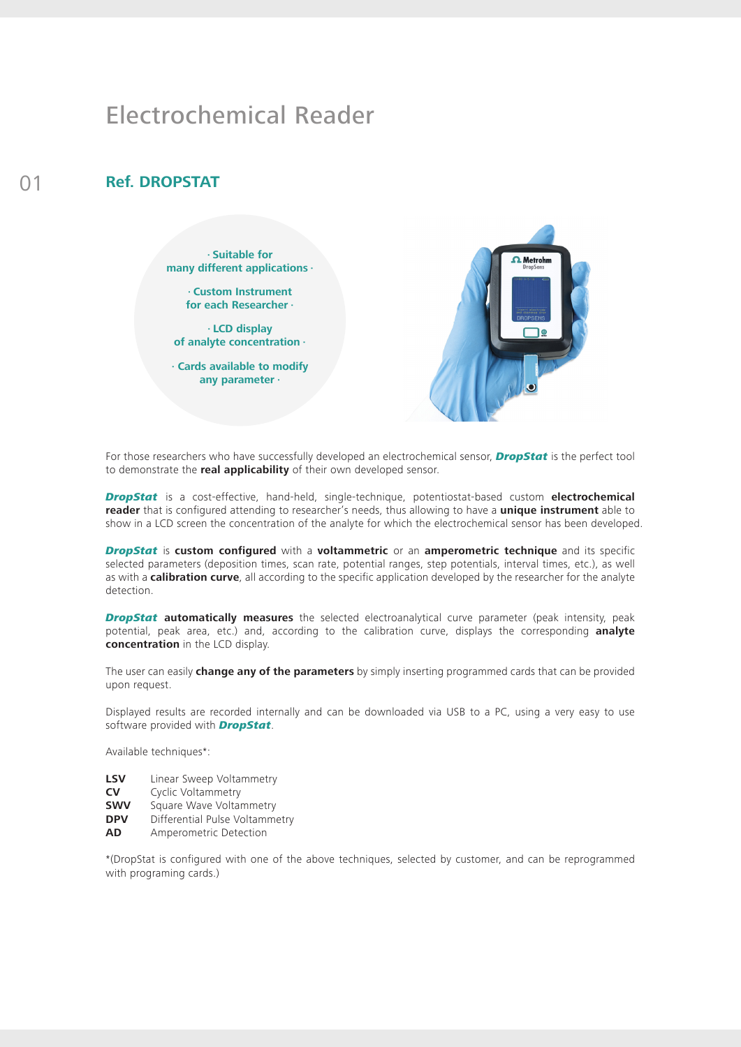## Electrochemical Reader

## 01 **Ref. DROPSTAT**

**· Suitable for many different applications ·**

> **· Custom Instrument for each Researcher ·**

**· LCD display of analyte concentration ·**

**· Cards available to modify any parameter ·**



For those researchers who have successfully developed an electrochemical sensor, *DropStat* is the perfect tool to demonstrate the **real applicability** of their own developed sensor.

*DropStat* is a cost-effective, hand-held, single-technique, potentiostat-based custom **electrochemical reader** that is configured attending to researcher's needs, thus allowing to have a **unique instrument** able to show in a LCD screen the concentration of the analyte for which the electrochemical sensor has been developed.

*DropStat* is **custom configured** with a **voltammetric** or an **amperometric technique** and its specific selected parameters (deposition times, scan rate, potential ranges, step potentials, interval times, etc.), as well as with a **calibration curve**, all according to the specific application developed by the researcher for the analyte detection.

*DropStat* **automatically measures** the selected electroanalytical curve parameter (peak intensity, peak potential, peak area, etc.) and, according to the calibration curve, displays the corresponding **analyte concentration** in the LCD display.

The user can easily **change any of the parameters** by simply inserting programmed cards that can be provided upon request.

Displayed results are recorded internally and can be downloaded via USB to a PC, using a very easy to use software provided with *DropStat*.

Available techniques\*:

- **LSV** Linear Sweep Voltammetry
- **CV** Cyclic Voltammetry
- **SWV** Square Wave Voltammetry
- **DPV** Differential Pulse Voltammetry
- **AD** Amperometric Detection

\*(DropStat is configured with one of the above techniques, selected by customer, and can be reprogrammed with programing cards.)